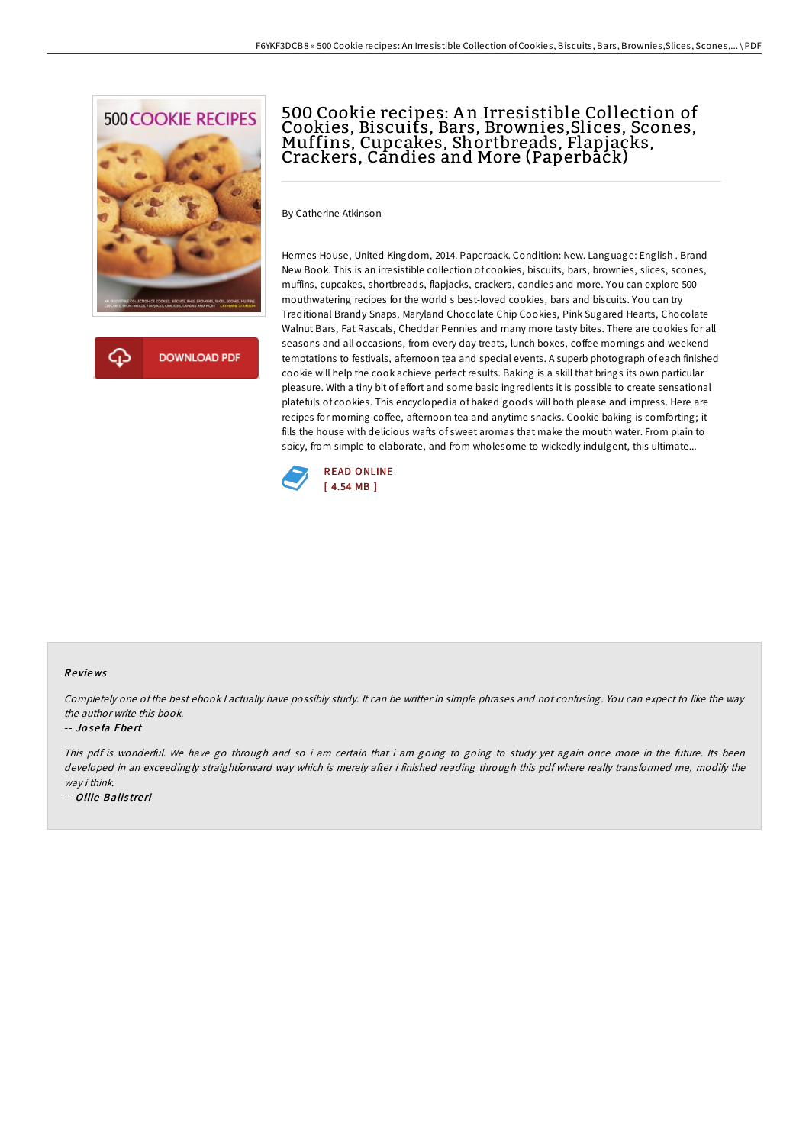

क़ **DOWNLOAD PDF** 

# 500 Cookie recipes: A n Irresistible Collection of Cookies, Biscuits, Bars, Brownies,Slices, Scones, Muffins, Cupcakes, Shortbreads, Flapjacks, Crackers, Candies and More (Paperback)

By Catherine Atkinson

Hermes House, United Kingdom, 2014. Paperback. Condition: New. Language: English . Brand New Book. This is an irresistible collection of cookies, biscuits, bars, brownies, slices, scones, muffins, cupcakes, shortbreads, flapjacks, crackers, candies and more. You can explore 500 mouthwatering recipes for the world s best-loved cookies, bars and biscuits. You can try Traditional Brandy Snaps, Maryland Chocolate Chip Cookies, Pink Sugared Hearts, Chocolate Walnut Bars, Fat Rascals, Cheddar Pennies and many more tasty bites. There are cookies for all seasons and all occasions, from every day treats, lunch boxes, coffee mornings and weekend temptations to festivals, afternoon tea and special events. A superb photograph of each finished cookie will help the cook achieve perfect results. Baking is a skill that brings its own particular pleasure. With a tiny bit of effort and some basic ingredients it is possible to create sensational platefuls of cookies. This encyclopedia of baked goods will both please and impress. Here are recipes for morning coffee, afternoon tea and anytime snacks. Cookie baking is comforting; it fills the house with delicious wafts of sweet aromas that make the mouth water. From plain to spicy, from simple to elaborate, and from wholesome to wickedly indulgent, this ultimate...



### Re views

Completely one of the best ebook <sup>I</sup> actually have possibly study. It can be writter in simple phrases and not confusing. You can expect to like the way the author write this book.

#### -- Jo se fa Ebe rt

This pdf is wonderful. We have go through and so i am certain that i am going to going to study yet again once more in the future. Its been developed in an exceedingly straightforward way which is merely after i finished reading through this pdf where really transformed me, modify the way i think.

-- Ollie Balistreri